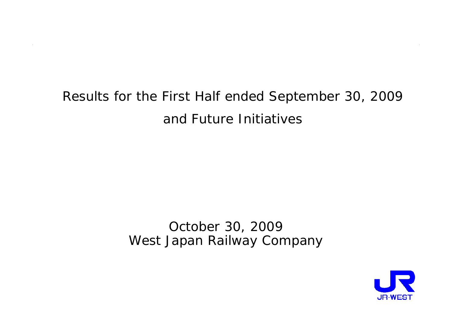# Results for the First Half ended September 30, 2009 and Future Initiatives

October 30, 2009 West Japan Railway Company

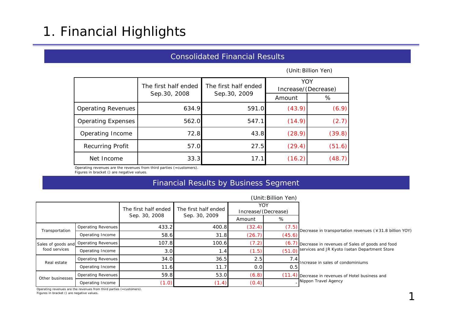# 1. Financial Highlights

## Consolidated Financial Results

(Unit:Billion Yen)

|                           | The first half ended | The first half ended | YOY<br>Increase/(Decrease) |        |  |
|---------------------------|----------------------|----------------------|----------------------------|--------|--|
|                           | Sep. 30, 2008        | Sep. 30, 2009        | Amount                     | %      |  |
| <b>Operating Revenues</b> | 634.9                | 591.0                | (43.9)                     | (6.9)  |  |
| <b>Operating Expenses</b> | 562.0                | 547.1                | (14.9)                     | (2.7)  |  |
| Operating Income          | 72.8                 | 43.8                 | (28.9)                     | (39.8) |  |
| Recurring Profit          | 57.0                 | 27.5                 | (29.4)                     | (51.6) |  |
| Net Income                | 33.3                 | 17.1                 | (16.2)                     | (48.7) |  |

Operating revenues are the revenues from third parties (=customers).

### Figures in bracket () are negative values.

## Financial Results by Business Segment

|                  |                                       |                      |                      |                            | (Unit: Billion Yen) |                                                         |
|------------------|---------------------------------------|----------------------|----------------------|----------------------------|---------------------|---------------------------------------------------------|
|                  |                                       | The first half ended | The first half ended | YOY<br>Increase/(Decrease) |                     |                                                         |
|                  |                                       | Sep. 30, 2008        | Sep. 30, 2009        | Amount                     | %                   |                                                         |
| Transportation   | Operating Revenues                    | 433.2                | 400.8                | (32.4)                     | (7.5)               | Decrease in transportation revenues (¥31.8 billion YOY) |
|                  | Operating Income                      | 58.6                 | 31.8                 | (26.7)                     | (45.6)              |                                                         |
|                  | Sales of goods and Operating Revenues | 107.8                | 100.6                | (7.2)                      | (6.7                | Decrease in revenues of Sales of goods and food         |
| food services    | Operating Income                      | 3.0                  | .4                   | (1.5)                      | (51.0)              | services and JR Kyoto Isetan Department Store           |
| Real estate      | Operating Revenues                    | 34.0                 | 36.5                 | 2.5                        | 7.4                 | Increase in sales of condominiums                       |
|                  | Operating Income                      | 11.6                 | 11.7                 | 0.0                        | 0.5                 |                                                         |
| Other businesses | <b>Operating Revenues</b>             | 59.8                 | 53.0                 | (6.8)                      | (11.4)              | Decrease in revenues of Hotel business and              |
|                  | Operating Income                      | (1.0)                | (1.4)                | (0.4)                      |                     | Nippon Travel Agency                                    |

Operating revenues are the revenues from third parties (=customers).

Figures in bracket () are negative values.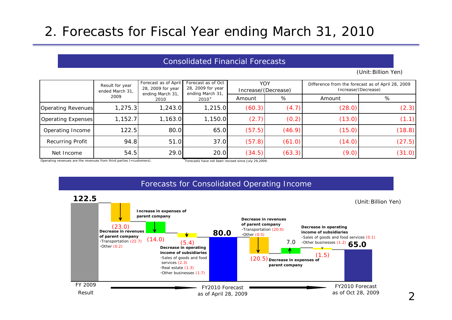# 2. Forecasts for Fiscal Year ending March 31, 2010

## Consolidated Financial Forecasts

(Unit:Billion Yen)

|                           | Result for year<br>ended March 31, | Forecast as of April<br>28, 2009 for year<br>ending March 31, | Forecast as of Oct<br>28, 2009 for year<br>ending March 31, | YOY<br>Increase/(Decrease) |        | Difference from the forecast as of April 28, 2009<br>Increase/(Decrease) |        |  |
|---------------------------|------------------------------------|---------------------------------------------------------------|-------------------------------------------------------------|----------------------------|--------|--------------------------------------------------------------------------|--------|--|
|                           | 2009                               | 2010                                                          | 2010*                                                       | Amount                     | %      | Amount                                                                   | %      |  |
| <b>Operating Revenues</b> | 1,275.3                            | 1,243.0                                                       | 1,215.0                                                     | (60.3)                     | (4.7)  | (28.0)                                                                   | (2.3)  |  |
| Operating Expenses        | 1,152.7                            | 1,163.0                                                       | 1,150.0                                                     | (2.7)                      | (0.2)  | (13.0)                                                                   | (1.1)  |  |
| Operating Income          | 122.5                              | 80.0                                                          | 65.0                                                        | (57.5)                     | (46.9) | (15.0)                                                                   | (18.8) |  |
| Recurring Profit          | 94.8                               | 51.0                                                          | 37.0                                                        | (57.8)                     | (61.0) | (14.0)                                                                   | (27.5) |  |
| Net Income                | 54.5                               | 29.0                                                          | 20.0                                                        | (34.5)                     | (63.3) | (9.0)                                                                    | (31.0) |  |

Operating revenues are the revenues from third parties (=customers). \*Forecasts have not been revised since July 29,2009.



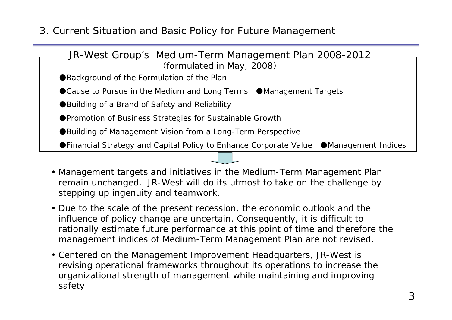3. Current Situation and Basic Policy for Future Management

| JR-West Group's Medium-Term Management Plan 2008-2012                                   |
|-----------------------------------------------------------------------------------------|
| (formulated in May, 2008)                                                               |
| ●Background of the Formulation of the Plan                                              |
| ● Cause to Pursue in the Medium and Long Terms ● Management Targets                     |
| ● Building of a Brand of Safety and Reliability                                         |
| ●Promotion of Business Strategies for Sustainable Growth                                |
| ●Building of Management Vision from a Long-Term Perspective                             |
| ● Financial Strategy and Capital Policy to Enhance Corporate Value ● Management Indices |

- Management targets and initiatives in the Medium-Term Management Plan remain unchanged. JR-West will do its utmost to take on the challenge by stepping up ingenuity and teamwork.
- Due to the scale of the present recession, the economic outlook and the influence of policy change are uncertain. Consequently, it is difficult to rationally estimate future performance at this point of time and therefore the management indices of Medium-Term Management Plan are not revised.
- Centered on the Management Improvement Headquarters, JR-West is revising operational frameworks throughout its operations to increase the organizational strength of management while maintaining and improving safety.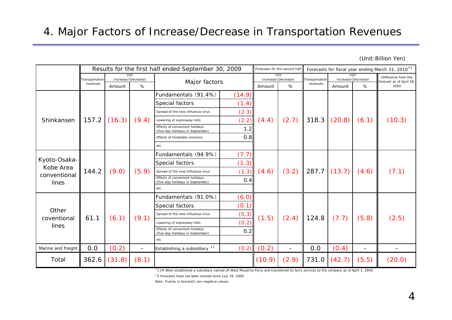(Unit:Billion Yen)

|                    |                | Results for the first half ended September 30, 2009 |                                                                                                                                                                                                               |                                                                    |                         |        | Forecasts for the second half | Forecasts for fiscal year ending March 31, 2010 <sup>*2</sup> |                |                            |                                                 |
|--------------------|----------------|-----------------------------------------------------|---------------------------------------------------------------------------------------------------------------------------------------------------------------------------------------------------------------|--------------------------------------------------------------------|-------------------------|--------|-------------------------------|---------------------------------------------------------------|----------------|----------------------------|-------------------------------------------------|
|                    | Transportation |                                                     | YOY.<br>Increase/(Decrease)                                                                                                                                                                                   |                                                                    |                         |        | YOY<br>Increase/(Decrease)    |                                                               | Transportation | YOY<br>Increase/(Decrease) | Difference from the<br>forecast as of April 28, |
|                    | revenues       | Amount                                              | %                                                                                                                                                                                                             |                                                                    | Major factors<br>Amount |        | %                             | revenues                                                      | Amount         | %                          | 2009                                            |
|                    |                |                                                     |                                                                                                                                                                                                               | Fundamentals (91.4%)                                               | (14.9)                  |        |                               |                                                               |                |                            |                                                 |
|                    |                |                                                     |                                                                                                                                                                                                               | Special factors                                                    | (1.4)                   |        |                               |                                                               |                |                            |                                                 |
|                    |                |                                                     |                                                                                                                                                                                                               | Spread of the new influenza virus                                  | (2.3)                   |        |                               |                                                               |                |                            |                                                 |
| Shinkansen         | 157.2          | (16.3)                                              | (9.4)                                                                                                                                                                                                         | Lowering of expresway tolls                                        | (2.2)                   | (4.4)  | (2.7)                         | 318.3                                                         | (20.8)         | (6.1)                      | (10.3)                                          |
|                    |                |                                                     |                                                                                                                                                                                                               | Effects of convenient holidays<br>(five-day holidays in September) | 1.2                     |        |                               |                                                               |                |                            |                                                 |
|                    |                |                                                     |                                                                                                                                                                                                               | Effects of timetable revisions                                     | 0.8                     |        |                               |                                                               |                |                            |                                                 |
|                    |                |                                                     |                                                                                                                                                                                                               | etc                                                                |                         |        |                               |                                                               |                |                            |                                                 |
|                    |                |                                                     | (7.7)<br>Fundamentals (94.9%)<br>(1.3)<br>Special factors<br>(5.9)<br>(1.3)<br>(4.6)<br>Spread of the new influenza virus<br>Effects of convenient holidays<br>0.4<br>(five-day holidays in September)<br>etc |                                                                    |                         |        |                               |                                                               |                |                            |                                                 |
| Kyoto-Osaka-       |                | (9.0)                                               |                                                                                                                                                                                                               |                                                                    |                         |        |                               |                                                               | (13.7)         | (4.6)                      |                                                 |
| Kobe Area          | 144.2          |                                                     |                                                                                                                                                                                                               |                                                                    |                         |        | (3.2)                         | 287.7                                                         |                |                            | (7.1)                                           |
| conventional       |                |                                                     |                                                                                                                                                                                                               |                                                                    |                         |        |                               |                                                               |                |                            |                                                 |
| lines              |                |                                                     |                                                                                                                                                                                                               |                                                                    |                         |        |                               |                                                               |                |                            |                                                 |
|                    |                |                                                     |                                                                                                                                                                                                               | Fundamentals (91.0%)                                               | (6.0)                   |        |                               |                                                               |                |                            |                                                 |
|                    |                |                                                     |                                                                                                                                                                                                               | Special factors                                                    | (0.1)                   |        |                               |                                                               |                |                            |                                                 |
| Other              |                |                                                     |                                                                                                                                                                                                               | Spread of the new influenza virus                                  | (0.3)                   |        |                               |                                                               |                |                            |                                                 |
| coventional        | 61.1           | (6.1)                                               | (9.1)                                                                                                                                                                                                         | Lowering of expresway tolls                                        | (0.2)                   | (1.5)  | (2.4)                         | 124.8                                                         | (7.7)          | (5.8)                      | (2.5)                                           |
| lines              |                |                                                     |                                                                                                                                                                                                               | Effects of convenient holidays<br>(five-day holidays in September) | 0.2                     |        |                               |                                                               |                |                            |                                                 |
|                    |                |                                                     |                                                                                                                                                                                                               | etc                                                                |                         |        |                               |                                                               |                |                            |                                                 |
| Marine and freight | 0.0            | (0.2)                                               | $\blacksquare$                                                                                                                                                                                                | Establishing a subisidiary * <sup>1</sup>                          | (0.2)                   | (0.2)  | $\overline{\phantom{a}}$      | 0.0                                                           | (0.4)          | $\blacksquare$             |                                                 |
| Total              | 362.6          | (31.8)                                              | (8.1)                                                                                                                                                                                                         |                                                                    |                         | (10.9) | (2.9)                         | 731.0                                                         | (42.7)         | (5.5)                      | (20.0)                                          |

\*1 JR-West established a subsidiary named JR-West Miyajima Ferry and transferred its ferry services to the company as of April 1, 2009.

\*2 Forecasts have not been revised since July 29, 2009

Note: Fiutres in bracket() are negative values.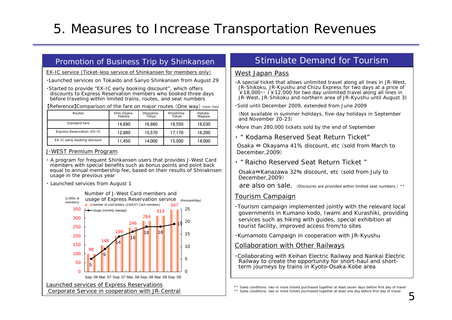# 5. Measures to Increase Transportation Revenues

### Promotion of Business Trip by Shinkansen

EX-IC service (Ticket-less service of Shinkansen for members only)

・Launched services on Tokaido and Sanyo Shinkansen from August 29

・Started to provide "EX-IC early booking discount", which offers discounts to Express Reservation members who booked three days before traveling within limited trains, routes, and seat numbers

【Reference】Comparison of the fare on major routes (One way) (Unit:Yen)

| Routes                       | Shin-Osaka-<br>Hakata | Okayama-<br>Tokyo | Hiroshima-<br>Tokyo | Hakata-<br>Nagoya |
|------------------------------|-----------------------|-------------------|---------------------|-------------------|
| Standard fare                | 14.890                | 16.860            | 18.550              | 18.030            |
| Express Reservation /EX-IC   | 12.880                | 15.570            | 17.170              | 16.200            |
| EX-IC early booking discount | 11.450                | 14.000            | 15.500              | 14.000            |

### J-WEST Premium Program

- ・ A program for frequent Shinkansen users that provides J-West Card members with special benefits such as bonus points and point back equal to annual membership fee, based on their results of Shinaknsen usage in the previous year
- ・ Launched services from August 1



## Stimulate Demand for Tourism

### West Japan Pass

・A special ticket that allows unlimited travel along all lines in JR-West, JR-Shikoku, JR-Kyushu and Chizu Express for two days at a price of  $\angle$  18,000<sup>\*1</sup> ( $\angle$  12,000 for two day unlimited travel along all lines in JR-West, JR-Shikoku and northern area of JR-Kyushu until August 3)

・Sold until December 2009, extended from June 2009

(Not available in summer holidays, five-day holidays in September and November 20-23)

・More than 280,000 tickets sold by the end of September

・ " Kodama Reserved Seat Return Ticket"

Osaka ⇔ Okayama 41% discount, etc (sold from March to December,2009)

・ " Raicho Reserved Seat Return Ticket "

Osaka ⇔Kanazawa 32 % discount, etc (sold from July to December,2009)

are also on sale. (Discounts are provided within limited seat numbers.) \*2

### Tourism Campaign

・Tourism campaign implemented jointly with the relevant local governments in Kumano kodo, Iwami and Kurashiki, providing services such as hiking with guides, special exhibition at tourist facility, improved access from/to sites

・Kumamoto Campaign in cooperation with JR-Kyushu

### Collaboration with Other Railways

・Collaborating with Keihan Electric Railway and Nankai Electric Railway to create the opportunity for short-haul and shortterm journeys by trains in Kyoto-Osaka-Kobe area

\*1 Sales conditions: two or more tickets purchased together at least seven days before first day of travel

\*2 Sales conditions: two or more tickets purchased together at least one day before first day of travel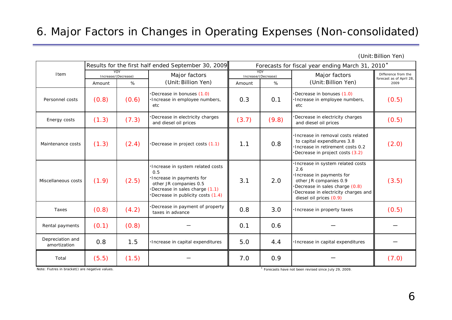## 6. Major Factors in Changes in Operating Expenses (Non-consolidated)

(Unit:Billion Yen)

|                                  |                                                   |                            | Results for the first half ended September 30, 2009                                                                                                                  | Forecasts for fiscal year ending March 31, 2010* |       |                                                                                                                                                                                                     |                                                 |  |
|----------------------------------|---------------------------------------------------|----------------------------|----------------------------------------------------------------------------------------------------------------------------------------------------------------------|--------------------------------------------------|-------|-----------------------------------------------------------------------------------------------------------------------------------------------------------------------------------------------------|-------------------------------------------------|--|
| Item                             |                                                   | YOY<br>Increase/(Decrease) | Major factors                                                                                                                                                        | YOY<br>Increase/(Decrease)                       |       | Major factors                                                                                                                                                                                       | Difference from the<br>forecast as of April 28, |  |
|                                  | (Unit: Billion Yen)<br>%<br>%<br>Amount<br>Amount |                            |                                                                                                                                                                      | (Unit: Billion Yen)                              | 2009  |                                                                                                                                                                                                     |                                                 |  |
| Personnel costs                  | (0.8)                                             | (0.6)                      | Decrease in bonuses (1.0)<br>Increase in employee numbers,<br>etc                                                                                                    | 0.3                                              | 0.1   | Decrease in bonuses (1.0)<br>Increase in employee numbers,<br>etc                                                                                                                                   | (0.5)                                           |  |
| Energy costs                     | (1.3)                                             | (7.3)                      | Decrease in electricity charges<br>and diesel oil prices                                                                                                             | (3.7)                                            | (9.8) | Decrease in electricity charges<br>and diesel oil prices                                                                                                                                            | (0.5)                                           |  |
| Maintenance costs                | (1.3)                                             | (2.4)                      | Decrease in project costs (1.1)                                                                                                                                      | 1.1                                              | 0.8   | Increase in removal costs related<br>to capital expenditures 3.8<br>Increase in retirement costs 0.2<br>Decrease in project costs (3.2)                                                             | (2.0)                                           |  |
| Miscellaneous costs              | (1.9)                                             | (2.5)                      | Increase in system related costs<br>0.5<br>Increase in payments for<br>other JR companies 0.5<br>Decrease in sales charge (1.1)<br>Decrease in publicity costs (1.4) | 3.1                                              | 2.0   | Increase in system related costs<br>2.6<br>· Increase in payments for<br>other JR companies 0.9<br>Decrease in sales charge (0.8)<br>Decrease in electricity charges and<br>diesel oil prices (0.9) | (3.5)                                           |  |
| Taxes                            | (0.8)                                             | (4.2)                      | Decrease in payment of property<br>taxes in advance                                                                                                                  | 0.8                                              | 3.0   | ·Increase in property taxes                                                                                                                                                                         | (0.5)                                           |  |
| Rental payments                  | (0.1)                                             | (0.8)                      |                                                                                                                                                                      | 0.1                                              | 0.6   |                                                                                                                                                                                                     |                                                 |  |
| Depreciation and<br>amortization | 0.8                                               | 1.5                        | Increase in capital expenditures                                                                                                                                     | 5.0                                              | 4.4   | ·Increase in capital expenditures                                                                                                                                                                   |                                                 |  |
| Total                            | (5.5)                                             | (1.5)                      |                                                                                                                                                                      | 7.0                                              | 0.9   |                                                                                                                                                                                                     | (7.0)                                           |  |

Note: Fiutres in bracket() are negative values. \* Forecasts have not been revised since July 29, 2009.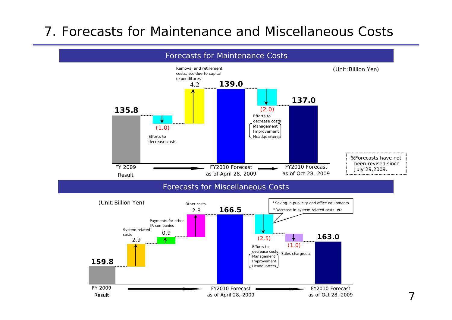# 7. Forecasts for Maintenance and Miscellaneous Costs

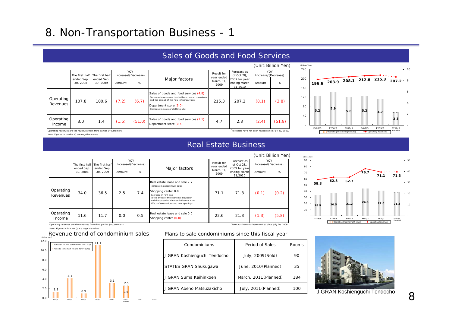## 8. Non-Transportation Business - 1

#### (Unit:Billion Yen) Amount %% | March | March | March | Amount | % Sales of goods and food services (4.8) Decrease in revenues due to the economic slowdown and the spread of the new influenza virus Department store (3.0) Decrease in sales of clothing, etc  $(51.0)$  Sales of goods and food services  $(1.1)$  4.7  $2.3$   $(2.4)$   $(51.8)$ Department store (0.5) Operating revenues are the revenues from third parties (=customers). \*Forecasts have not been revised since July 29, 2009. (8.1) (3.8) (2.4) 207.2 $(7.2)$ Operating Income $\begin{array}{c|c} \n\cdot 9 \\
e & 3.0\n\end{array}$  1.4 (1.5) 215.34.7The first half ended Sep. 30, 2008 The first half ended Sep. 30, 2009  $\sqrt{2}$  Increase/(Decrease) Operating Revenues 107.8 100.6 (6.7) Major factors Result for year ended March 31, 2009Forecast as of Oct 28, 2009 for year 31,2010 YOYIncrease/(Decrease)



#### Note: Figures in bracket () are negative values.

## Real Estate Business

Sales of Goods and Food Services

|                       |                       |                       |        |                            |                                                                                                                                                                                                                                                |                                 |                                          |                            | (Unit: Billion Yen) |
|-----------------------|-----------------------|-----------------------|--------|----------------------------|------------------------------------------------------------------------------------------------------------------------------------------------------------------------------------------------------------------------------------------------|---------------------------------|------------------------------------------|----------------------------|---------------------|
|                       | The first half        | The first half        |        | YOY<br>Increase/(Decrease) |                                                                                                                                                                                                                                                | Result for                      | Forecast as<br>of Oct 28.                | YOY<br>Increase/(Decrease) |                     |
|                       | ended Sep.<br>30.2008 | ended Sep.<br>30.2009 | Amount | %                          | Major factors                                                                                                                                                                                                                                  | year ended<br>March 31.<br>2009 | 2009 for year<br>ending March<br>31,2010 | Amount                     | %                   |
| Operating<br>Revenues | 34.0                  | 36.5                  | 2.5    | 7.4                        | Real estate lease and sale 2.7<br>Increase in ondominium sales<br>Shopping center 0.0<br>Decrease in rent due<br>to the effect of the economic slowdown<br>and the spread of the new influenza virus<br>Effect of renovations and new openings | 71.1                            | 71.3                                     | (0.1)                      | (0.2)               |
| Operating<br>Income   | 11.6                  | 11.7                  | 0.0    | 0.5                        | Real estate lease and sale 0.0<br>Shopping center (0.0)                                                                                                                                                                                        | 22.6                            | 21.3                                     | (1.3)                      | (5.8)               |



Operating revenues are the revenues from third parties (=customers). \*Forecasts have not been revised since July 29, 2009.

Note: Figures in bracket () are negative values.





### Plans to sale condominiums since this fiscal year

| Condominiums                 | Period of Sales       | Rooms |
|------------------------------|-----------------------|-------|
| J GRAN Koshienguchi Tendocho | July, 2009 (Sold)     | 90    |
| <b>STATES GRAN Shukugawa</b> | June, 2010(Planned)   | 35    |
| J GRAN Suma Kaihinkoen       | March, 2011 (Planned) | 184   |
| J GRAN Abeno Matsuzakicho    | July, 2011 (Planned)  | 100   |



J GRAN Koshienguchi Tendocho

80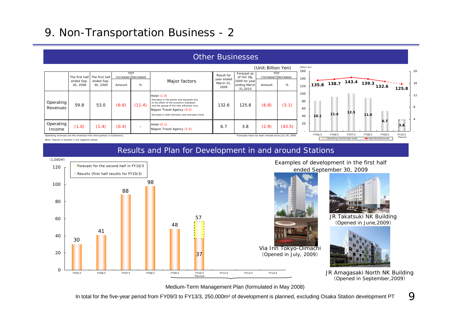## 9. Non-Transportation Business - 2

#### (Unit:Billion Yen) **10.1 11.4 12.5 11.0 6.7 3.8 135.8 138.7 143.4 139.3 132.6 125.8**2040 6080 100120140160 FY05/3 FY06/3 FY07/3 FY08/3 FY09/3 FY10/3Planne (Billion Yen) 4812 16 20 Operating Income(right scale) **-** Operating Revenues Planned Amount %% | which is not a second ending March Amount | % Hotel (1.0) Decrease in the guests and banquets due to the effect of the economic slowdown(6.8) (11.4) and the spread of the new influenza virus 132.6 125.8 (6.8) Nippon Travel Agency (4.2) ase in both domestic and overseas travel Hotel (0.1)  $\begin{bmatrix} 1.0 \\ 2.9 \end{bmatrix}$  (1.4)  $(0.4)$  -  $\begin{bmatrix} 1.0 & 0.4 \\ 0.4 & -1 \end{bmatrix}$   $\begin{bmatrix} 0.4 & 0.7 \\ 0.4 & -1 \end{bmatrix}$  (1.0)  $(43.5)$ Operating revenues are the revenues from third parties (=customers). \*Forecasts have not been revised since July 29, 2009. 132.66.7Result for year ended March 31, 2009 Operating Income125.8 $(6.8)$   $(5.1)$ Forecast as of Oct 28, ※2009 for year 31,2010 YOY Increase/(Decrease) Major factors The first half ended Sep. 30, 2008 The first ha ended Sep. 30, 2009 YOY Increase/(Decrease)  $(11.4)$  $(0.4)$ 3.8 (2.9) Operating Revenues59.8 53.0

## Other Businesses

Note: Figures in bracket () are negative values.

Results and Plan for Development in and around Stations



Medium-Term Management Plan (formulated in May 2008)

In total for the five-year period from FY09/3 to FY13/3, 250,000m² of development is planned, excluding Osaka Station development PT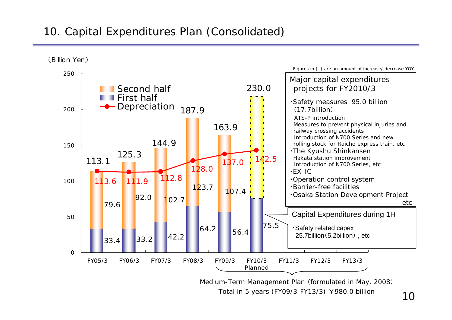## 10. Capital Expenditures Plan (Consolidated)



Total in 5 years (FY09/3-FY13/3) ¥980.0 billion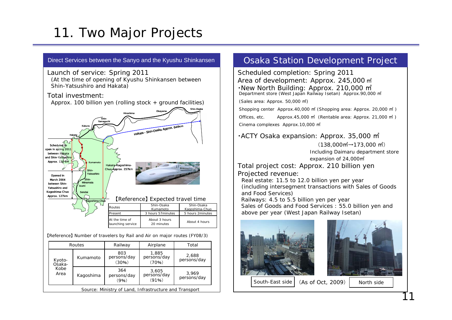# 11. Two Major Projects



|                  |                                                        | Routes                      | Railway                       | Airplane                      | Total                |  |  |  |  |
|------------------|--------------------------------------------------------|-----------------------------|-------------------------------|-------------------------------|----------------------|--|--|--|--|
| Kyoto-<br>Osaka- | Kumamoto                                               | 803<br>persons/day<br>(30%) | 1,885<br>persons/day<br>(70%) | 2,688<br>persons/day          |                      |  |  |  |  |
|                  | Kobe<br>Area                                           | Kagoshima                   | 364<br>persons/day<br>(9%)    | 3,605<br>persons/day<br>(91%) | 3,969<br>persons/day |  |  |  |  |
|                  | Source: Ministry of Land, Infrastructure and Transport |                             |                               |                               |                      |  |  |  |  |

## Osaka Station Development Project

Scheduled completion: Spring 2011 Area of development: Approx. 245,000 ㎡ ・New North Building: Approx. 210,000 ㎡ Department store (West Japan Railway Isetan) Approx.90,000 ㎡

(Sales area: Approx. 50,000 ㎡)

Shopping center Approx.40,000 ㎡ (Shopping area: Approx. 20,000 ㎡ ) Offices, etc. Approx.45,000 ㎡ (Rentable area: Approx. 21,000 ㎡ ) Cinema complexes Approx.10,000 ㎡

・ACTY Osaka expansion: Approx. 35,000 ㎡

 $(138,000 \text{ m}^2 \rightarrow 173,000 \text{ m}^2)$ Including Daimaru department store expansion of 24,000㎡

Total project cost: Approx. 210 billion yen Projected revenue:

Real estate: 11.5 to 12.0 billion yen per year (including intersegment transactions with Sales of Goods and Food Services) Railways: 4.5 to 5.5 billion yen per year

Sales of Goods and Food Services : 55.0 billion yen and above per year (West Japan Railway Isetan)

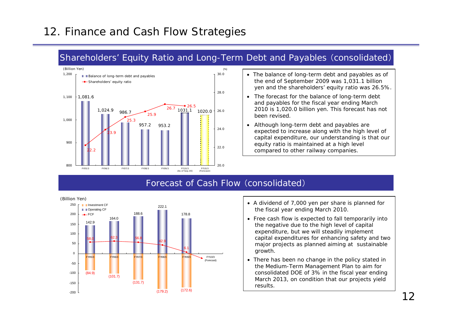## 12. Finance and Cash Flow Strategies

## Shareholders' Equity Ratio and Long-Term Debt and Payables (consolidated)



- The balance of long-term debt and payables as of the end of September 2009 was 1,031.1 billion yen and the shareholders' equity ratio was 26.5%.
- The forecast for the balance of long-term debt and payables for the fiscal year ending March 2010 is 1,020.0 billion yen. This forecast has not been revised.
- Although long-term debt and payables are expected to increase along with the high level of capital expenditure, our understanding is that our equity ratio is maintained at a high level compared to other railway companies.

## Forecast of Cash Flow (consolidated)



- A dividend of 7,000 yen per share is planned for the fiscal year ending March 2010.
- Free cash flow is expected to fall temporarily into the negative due to the high level of capital expenditure, but we will steadily implement capital expenditures for enhancing safety and two major projects as planned aiming at sustainable growth.
- There has been no change in the policy stated in the Medium-Term Management Plan to aim for consolidated DOE of 3% in the fiscal year ending March 2013, on condition that our projects yield results.